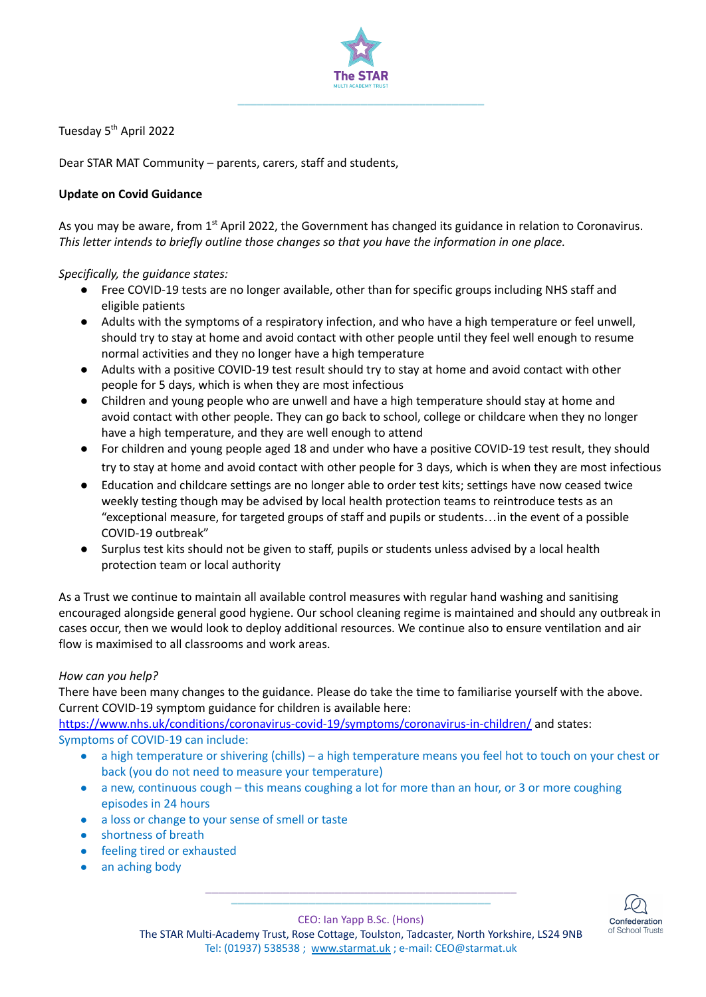

Tuesday 5<sup>th</sup> April 2022

Dear STAR MAT Community – parents, carers, staff and students,

## **Update on Covid Guidance**

As you may be aware, from  $1<sup>st</sup>$  April 2022, the Government has changed its guidance in relation to Coronavirus. *This letter intends to briefly outline those changes so that you have the information in one place.*

## *Specifically, the guidance states:*

- Free COVID-19 tests are no longer available, other than for specific groups including NHS staff and eligible patients
- Adults with the symptoms of a respiratory infection, and who have a high temperature or feel unwell, should try to stay at home and avoid contact with other people until they feel well enough to resume normal activities and they no longer have a high temperature
- Adults with a positive COVID-19 test result should try to stay at home and avoid contact with other people for 5 days, which is when they are most infectious
- Children and young people who are unwell and have a high temperature should stay at home and avoid contact with other people. They can go back to school, college or childcare when they no longer have a high temperature, and they are well enough to attend
- For children and young people aged 18 and under who have a positive COVID-19 test result, they should try to stay at home and avoid contact with other people for 3 days, which is when they are most infectious
- Education and childcare settings are no longer able to order test kits; settings have now ceased twice weekly testing though may be advised by local health protection teams to reintroduce tests as an "exceptional measure, for targeted groups of staff and pupils or students…in the event of a possible COVID-19 outbreak"
- Surplus test kits should not be given to staff, pupils or students unless advised by a local health protection team or local authority

As a Trust we continue to maintain all available control measures with regular hand washing and sanitising encouraged alongside general good hygiene. Our school cleaning regime is maintained and should any outbreak in cases occur, then we would look to deploy additional resources. We continue also to ensure ventilation and air flow is maximised to all classrooms and work areas.

## *How can you help?*

There have been many changes to the guidance. Please do take the time to familiarise yourself with the above. Current COVID-19 symptom guidance for children is available here:

<https://www.nhs.uk/conditions/coronavirus-covid-19/symptoms/coronavirus-in-children/> and states: Symptoms of COVID-19 can include:

- a high temperature or shivering (chills) a high temperature means you feel hot to touch on your chest or back (you do not need to measure your temperature)
- a new, continuous cough this means coughing a lot for more than an hour, or 3 or more coughing episodes in 24 hours
- a loss or change to your sense of smell or taste
- shortness of breath
- feeling tired or exhausted
- an aching body



**\_\_\_\_\_\_\_\_\_\_\_\_\_\_\_\_\_\_\_\_\_\_\_\_\_\_\_\_\_\_\_\_\_\_\_\_\_\_\_\_** CEO: Ian Yapp B.Sc. (Hons)

**\_\_\_\_\_\_\_\_\_\_\_\_\_\_\_\_\_\_\_\_\_\_\_\_\_\_\_\_\_\_\_\_\_\_\_\_\_\_\_\_\_\_\_\_\_\_\_\_**

The STAR Multi-Academy Trust, Rose Cottage, Toulston, Tadcaster, North Yorkshire, LS24 9NB Tel: (01937) 538538 ; [www.starmat.uk](http://www.starmat.uk) ; e-mail: [CEO@starmat.uk](mailto:CEO@starmat.uk)